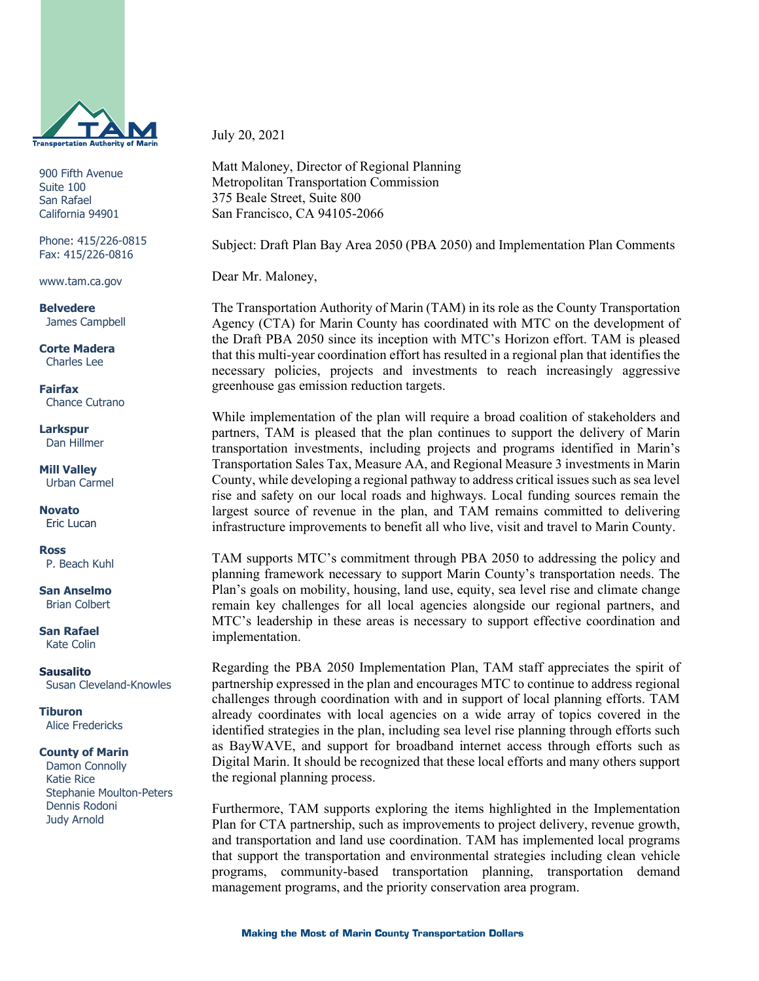

900 Fifth Avenue Suite 100 San Rafael California 94901

Phone: 415/226-0815 Fax: 415/226-0816

www.tam.ca.gov

**Belvedere** James Campbell

**Corte Madera** Charles Lee

**Fairfax** Chance Cutrano

**Larkspur** Dan Hillmer

**Mill Valley** Urban Carmel

**Novato** Eric Lucan

**Ross** P. Beach Kuhl

**San Anselmo** Brian Colbert

**San Rafael** Kate Colin

**Sausalito** Susan Cleveland-Knowles

**Tiburon** Alice Fredericks

## **County of Marin**

 Damon Connolly Katie Rice Stephanie Moulton-Peters Dennis Rodoni Judy Arnold

July 20, 2021

Matt Maloney, Director of Regional Planning Metropolitan Transportation Commission 375 Beale Street, Suite 800 San Francisco, CA 94105-2066

Subject: Draft Plan Bay Area 2050 (PBA 2050) and Implementation Plan Comments

Dear Mr. Maloney,

The Transportation Authority of Marin (TAM) in its role as the County Transportation Agency (CTA) for Marin County has coordinated with MTC on the development of the Draft PBA 2050 since its inception with MTC's Horizon effort. TAM is pleased that this multi-year coordination effort has resulted in a regional plan that identifies the necessary policies, projects and investments to reach increasingly aggressive greenhouse gas emission reduction targets.

While implementation of the plan will require a broad coalition of stakeholders and partners, TAM is pleased that the plan continues to support the delivery of Marin transportation investments, including projects and programs identified in Marin's Transportation Sales Tax, Measure AA, and Regional Measure 3 investments in Marin County, while developing a regional pathway to address critical issues such as sea level rise and safety on our local roads and highways. Local funding sources remain the largest source of revenue in the plan, and TAM remains committed to delivering infrastructure improvements to benefit all who live, visit and travel to Marin County.

TAM supports MTC's commitment through PBA 2050 to addressing the policy and planning framework necessary to support Marin County's transportation needs. The Plan's goals on mobility, housing, land use, equity, sea level rise and climate change remain key challenges for all local agencies alongside our regional partners, and MTC's leadership in these areas is necessary to support effective coordination and implementation.

Regarding the PBA 2050 Implementation Plan, TAM staff appreciates the spirit of partnership expressed in the plan and encourages MTC to continue to address regional challenges through coordination with and in support of local planning efforts. TAM already coordinates with local agencies on a wide array of topics covered in the identified strategies in the plan, including sea level rise planning through efforts such as BayWAVE, and support for broadband internet access through efforts such as Digital Marin. It should be recognized that these local efforts and many others support the regional planning process.

Furthermore, TAM supports exploring the items highlighted in the Implementation Plan for CTA partnership, such as improvements to project delivery, revenue growth, and transportation and land use coordination. TAM has implemented local programs that support the transportation and environmental strategies including clean vehicle programs, community-based transportation planning, transportation demand management programs, and the priority conservation area program.